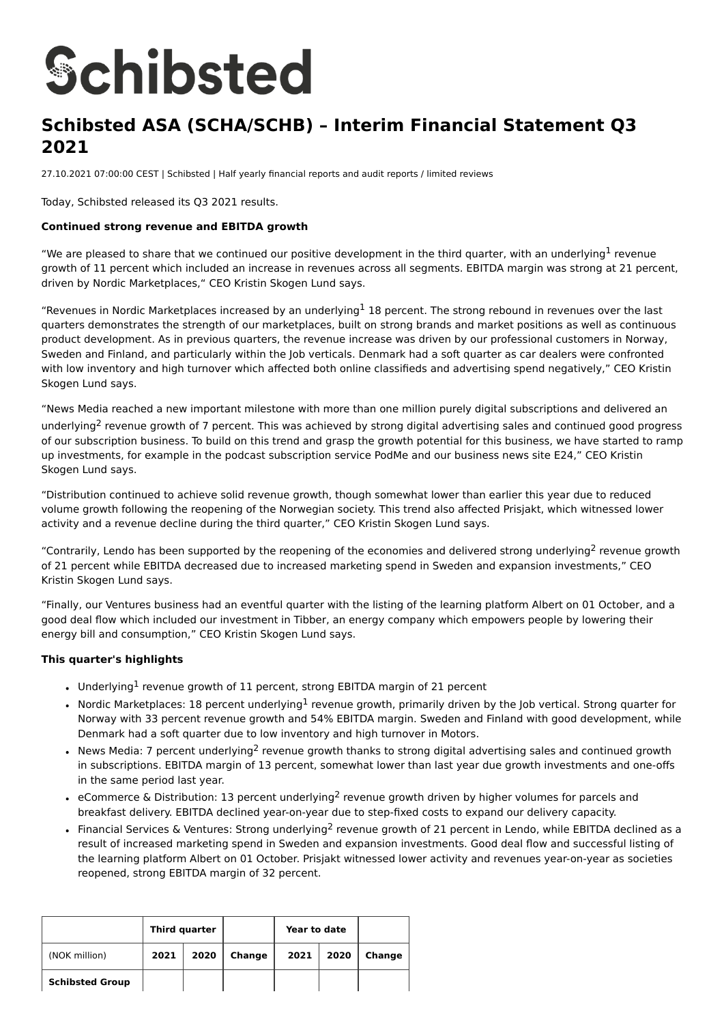# **Schibsted**

# **Schibsted ASA (SCHA/SCHB) – Interim Financial Statement Q3 2021**

27.10.2021 07:00:00 CEST | Schibsted | Half yearly financial reports and audit reports / limited reviews

Today, Schibsted released its Q3 2021 results.

### **Continued strong revenue and EBITDA growth**

"We are pleased to share that we continued our positive development in the third quarter, with an underlying<sup>1</sup> revenue growth of 11 percent which included an increase in revenues across all segments. EBITDA margin was strong at 21 percent, driven by Nordic Marketplaces," CEO Kristin Skogen Lund says.

"Revenues in Nordic Marketplaces increased by an underlying<sup>1</sup> 18 percent. The strong rebound in revenues over the last quarters demonstrates the strength of our marketplaces, built on strong brands and market positions as well as continuous product development. As in previous quarters, the revenue increase was driven by our professional customers in Norway, Sweden and Finland, and particularly within the Job verticals. Denmark had a soft quarter as car dealers were confronted with low inventory and high turnover which affected both online classifieds and advertising spend negatively." CEO Kristin Skogen Lund says.

"News Media reached a new important milestone with more than one million purely digital subscriptions and delivered an underlying<sup>2</sup> revenue growth of 7 percent. This was achieved by strong digital advertising sales and continued good progress of our subscription business. To build on this trend and grasp the growth potential for this business, we have started to ramp up investments, for example in the podcast subscription service PodMe and our business news site E24," CEO Kristin Skogen Lund says.

"Distribution continued to achieve solid revenue growth, though somewhat lower than earlier this year due to reduced volume growth following the reopening of the Norwegian society. This trend also affected Prisjakt, which witnessed lower activity and a revenue decline during the third quarter," CEO Kristin Skogen Lund says.

"Contrarily, Lendo has been supported by the reopening of the economies and delivered strong underlying<sup>2</sup> revenue growth of 21 percent while EBITDA decreased due to increased marketing spend in Sweden and expansion investments," CEO Kristin Skogen Lund says.

"Finally, our Ventures business had an eventful quarter with the listing of the learning platform Albert on 01 October, and a good deal flow which included our investment in Tibber, an energy company which empowers people by lowering their energy bill and consumption," CEO Kristin Skogen Lund says.

### **This quarter's highlights**

- Underlying<sup>1</sup> revenue growth of 11 percent, strong EBITDA margin of 21 percent
- Nordic Marketplaces: 18 percent underlying<sup>1</sup> revenue growth, primarily driven by the Job vertical. Strong quarter for Norway with 33 percent revenue growth and 54% EBITDA margin. Sweden and Finland with good development, while Denmark had a soft quarter due to low inventory and high turnover in Motors.
- News Media: 7 percent underlying<sup>2</sup> revenue growth thanks to strong digital advertising sales and continued growth in subscriptions. EBITDA margin of 13 percent, somewhat lower than last year due growth investments and one-offs in the same period last year.
- eCommerce & Distribution: 13 percent underlying<sup>2</sup> revenue growth driven by higher volumes for parcels and breakfast delivery. EBITDA declined year-on-year due to step-fixed costs to expand our delivery capacity.
- Financial Services & Ventures: Strong underlying<sup>2</sup> revenue growth of 21 percent in Lendo, while EBITDA declined as a result of increased marketing spend in Sweden and expansion investments. Good deal flow and successful listing of the learning platform Albert on 01 October. Prisjakt witnessed lower activity and revenues year-on-year as societies reopened, strong EBITDA margin of 32 percent.

|                        | Third quarter |      |        | Year to date |      |        |
|------------------------|---------------|------|--------|--------------|------|--------|
| (NOK million)          | 2021          | 2020 | Change | 2021         | 2020 | Change |
| <b>Schibsted Group</b> |               |      |        |              |      |        |